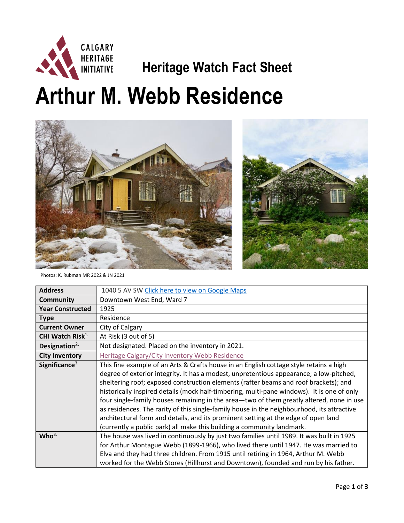

## **HERITAGE**<br>INITIATIVE **Heritage Watch Fact Sheet**

**Arthur M. Webb Residence**





Photos: K. Rubman MR 2022 & JN 2021

| <b>Address</b>               | 1040 5 AV SW Click here to view on Google Maps                                                                                                                                                                                                                                                                                                                                                                                                                                                                                                                                                                                                                                                                                    |
|------------------------------|-----------------------------------------------------------------------------------------------------------------------------------------------------------------------------------------------------------------------------------------------------------------------------------------------------------------------------------------------------------------------------------------------------------------------------------------------------------------------------------------------------------------------------------------------------------------------------------------------------------------------------------------------------------------------------------------------------------------------------------|
| <b>Community</b>             | Downtown West End, Ward 7                                                                                                                                                                                                                                                                                                                                                                                                                                                                                                                                                                                                                                                                                                         |
| <b>Year Constructed</b>      | 1925                                                                                                                                                                                                                                                                                                                                                                                                                                                                                                                                                                                                                                                                                                                              |
| <b>Type</b>                  | Residence                                                                                                                                                                                                                                                                                                                                                                                                                                                                                                                                                                                                                                                                                                                         |
| <b>Current Owner</b>         | City of Calgary                                                                                                                                                                                                                                                                                                                                                                                                                                                                                                                                                                                                                                                                                                                   |
| CHI Watch Risk <sup>1.</sup> | At Risk (3 out of 5)                                                                                                                                                                                                                                                                                                                                                                                                                                                                                                                                                                                                                                                                                                              |
| Designation $2$              | Not designated. Placed on the inventory in 2021.                                                                                                                                                                                                                                                                                                                                                                                                                                                                                                                                                                                                                                                                                  |
| <b>City Inventory</b>        | Heritage Calgary/City Inventory Webb Residence                                                                                                                                                                                                                                                                                                                                                                                                                                                                                                                                                                                                                                                                                    |
| Significance <sup>3.</sup>   | This fine example of an Arts & Crafts house in an English cottage style retains a high<br>degree of exterior integrity. It has a modest, unpretentious appearance; a low-pitched,<br>sheltering roof; exposed construction elements (rafter beams and roof brackets); and<br>historically inspired details (mock half-timbering, multi-pane windows). It is one of only<br>four single-family houses remaining in the area—two of them greatly altered, none in use<br>as residences. The rarity of this single-family house in the neighbourhood, its attractive<br>architectural form and details, and its prominent setting at the edge of open land<br>(currently a public park) all make this building a community landmark. |
| Who <sup>3</sup>             | The house was lived in continuously by just two families until 1989. It was built in 1925<br>for Arthur Montague Webb (1899-1966), who lived there until 1947. He was married to<br>Elva and they had three children. From 1915 until retiring in 1964, Arthur M. Webb<br>worked for the Webb Stores (Hillhurst and Downtown), founded and run by his father.                                                                                                                                                                                                                                                                                                                                                                     |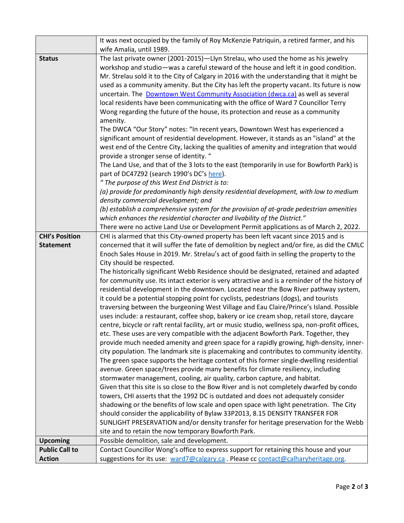|                       | It was next occupied by the family of Roy McKenzie Patriquin, a retired farmer, and his                             |
|-----------------------|---------------------------------------------------------------------------------------------------------------------|
|                       | wife Amalia, until 1989.                                                                                            |
| <b>Status</b>         | The last private owner (2001-2015)-Llyn Strelau, who used the home as his jewelry                                   |
|                       | workshop and studio—was a careful steward of the house and left it in good condition.                               |
|                       | Mr. Strelau sold it to the City of Calgary in 2016 with the understanding that it might be                          |
|                       | used as a community amenity. But the City has left the property vacant. Its future is now                           |
|                       | uncertain. The <b>Downtown West Community Association (dwca.ca)</b> as well as several                              |
|                       | local residents have been communicating with the office of Ward 7 Councillor Terry                                  |
|                       | Wong regarding the future of the house, its protection and reuse as a community<br>amenity.                         |
|                       | The DWCA "Our Story" notes: "In recent years, Downtown West has experienced a                                       |
|                       | significant amount of residential development. However, it stands as an "island" at the                             |
|                       | west end of the Centre City, lacking the qualities of amenity and integration that would                            |
|                       | provide a stronger sense of identity. "                                                                             |
|                       | The Land Use, and that of the 3 lots to the east (temporarily in use for Bowforth Park) is                          |
|                       | part of DC47Z92 (search 1990's DC's here).                                                                          |
|                       | " The purpose of this West End District is to:                                                                      |
|                       | (a) provide for predominantly high density residential development, with low to medium                              |
|                       | density commercial development; and                                                                                 |
|                       | (b) establish a comprehensive system for the provision of at-grade pedestrian amenities                             |
|                       | which enhances the residential character and livability of the District."                                           |
|                       | There were no active Land Use or Development Permit applications as of March 2, 2022.                               |
| <b>CHI's Position</b> | CHI is alarmed that this City-owned property has been left vacant since 2015 and is                                 |
| <b>Statement</b>      | concerned that it will suffer the fate of demolition by neglect and/or fire, as did the CMLC                        |
|                       | Enoch Sales House in 2019. Mr. Strelau's act of good faith in selling the property to the                           |
|                       | City should be respected.<br>The historically significant Webb Residence should be designated, retained and adapted |
|                       | for community use. Its intact exterior is very attractive and is a reminder of the history of                       |
|                       | residential development in the downtown. Located near the Bow River pathway system,                                 |
|                       | it could be a potential stopping point for cyclists, pedestrians (dogs), and tourists                               |
|                       | traversing between the burgeoning West Village and Eau Claire/Prince's Island. Possible                             |
|                       | uses include: a restaurant, coffee shop, bakery or ice cream shop, retail store, daycare                            |
|                       | centre, bicycle or raft rental facility, art or music studio, wellness spa, non-profit offices,                     |
|                       | etc. These uses are very compatible with the adjacent Bowforth Park. Together, they                                 |
|                       | provide much needed amenity and green space for a rapidly growing, high-density, inner-                             |
|                       | city population. The landmark site is placemaking and contributes to community identity.                            |
|                       | The green space supports the heritage context of this former single-dwelling residential                            |
|                       | avenue. Green space/trees provide many benefits for climate resiliency, including                                   |
|                       | stormwater management, cooling, air quality, carbon capture, and habitat.                                           |
|                       | Given that this site is so close to the Bow River and is not completely dwarfed by condo                            |
|                       | towers, CHI asserts that the 1992 DC is outdated and does not adequately consider                                   |
|                       | shadowing or the benefits of low scale and open space with light penetration. The City                              |
|                       | should consider the applicability of Bylaw 33P2013, 8.15 DENSITY TRANSFER FOR                                       |
|                       | SUNLIGHT PRESERVATION and/or density transfer for heritage preservation for the Webb                                |
|                       | site and to retain the now temporary Bowforth Park.                                                                 |
| <b>Upcoming</b>       | Possible demolition, sale and development.                                                                          |
| <b>Public Call to</b> | Contact Councillor Wong's office to express support for retaining this house and your                               |
| <b>Action</b>         | suggestions for its use: ward7@calgary.ca. Please cc contact@calharyheritage.org.                                   |